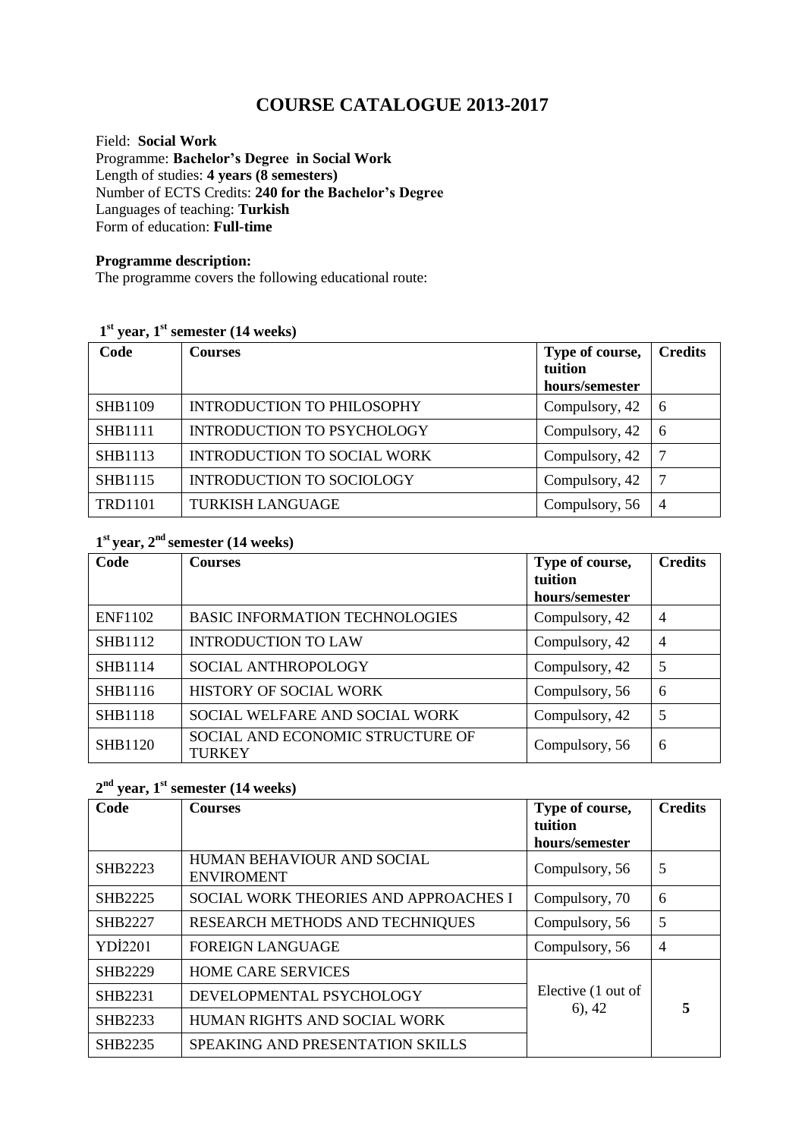# **COURSE CATALOGUE 2013-2017**

Field: **Social Work** Programme: **Bachelor's Degree in Social Work** Length of studies: **4 years (8 semesters)**  Number of ECTS Credits: **240 for the Bachelor's Degree** Languages of teaching: **Turkish** Form of education: **Full-time** 

#### **Programme description:**

The programme covers the following educational route:

#### **1 st year, 1st semester (14 weeks)**

| Code           | <b>Courses</b>                    | Type of course,<br>tuition<br>hours/semester | <b>Credits</b> |
|----------------|-----------------------------------|----------------------------------------------|----------------|
| <b>SHB1109</b> | <b>INTRODUCTION TO PHILOSOPHY</b> | Compulsory, 42                               | -6             |
| <b>SHB1111</b> | <b>INTRODUCTION TO PSYCHOLOGY</b> | Compulsory, 42                               | -6             |
| <b>SHB1113</b> | INTRODUCTION TO SOCIAL WORK       | Compulsory, 42                               | $\overline{7}$ |
| <b>SHB1115</b> | <b>INTRODUCTION TO SOCIOLOGY</b>  | Compulsory, 42                               | 7              |
| <b>TRD1101</b> | <b>TURKISH LANGUAGE</b>           | Compulsory, 56                               | $\overline{4}$ |

#### **1 st year, 2nd semester (14 weeks)**

| Code           | <b>Courses</b>                                    | Type of course,<br>tuition<br>hours/semester | <b>Credits</b> |
|----------------|---------------------------------------------------|----------------------------------------------|----------------|
| <b>ENF1102</b> | <b>BASIC INFORMATION TECHNOLOGIES</b>             | Compulsory, 42                               | $\overline{4}$ |
| <b>SHB1112</b> | <b>INTRODUCTION TO LAW</b>                        | Compulsory, 42                               | $\overline{4}$ |
| <b>SHB1114</b> | SOCIAL ANTHROPOLOGY                               | Compulsory, 42                               | 5              |
| SHB1116        | HISTORY OF SOCIAL WORK                            | Compulsory, 56                               | 6              |
| <b>SHB1118</b> | SOCIAL WELFARE AND SOCIAL WORK                    | Compulsory, 42                               | 5              |
| <b>SHB1120</b> | SOCIAL AND ECONOMIC STRUCTURE OF<br><b>TURKEY</b> | Compulsory, 56                               | 6              |

## **2 nd year, 1st semester (14 weeks)**

| Code           | <b>Courses</b>                                  | Type of course,<br>tuition       | <b>Credits</b> |
|----------------|-------------------------------------------------|----------------------------------|----------------|
|                |                                                 | hours/semester                   |                |
| SHB2223        | HUMAN BEHAVIOUR AND SOCIAL<br><b>ENVIROMENT</b> | Compulsory, 56                   | 5              |
| <b>SHB2225</b> | SOCIAL WORK THEORIES AND APPROACHES I           | Compulsory, 70                   | 6              |
| SHB2227        | RESEARCH METHODS AND TECHNIQUES                 | Compulsory, 56                   | 5              |
| <b>YDİ2201</b> | <b>FOREIGN LANGUAGE</b>                         | Compulsory, 56                   | $\overline{4}$ |
| <b>SHB2229</b> | <b>HOME CARE SERVICES</b>                       |                                  |                |
| <b>SHB2231</b> | DEVELOPMENTAL PSYCHOLOGY                        | Elective (1 out of<br>$(6)$ , 42 | 5              |
| SHB2233        | HUMAN RIGHTS AND SOCIAL WORK                    |                                  |                |
| <b>SHB2235</b> | <b>SPEAKING AND PRESENTATION SKILLS</b>         |                                  |                |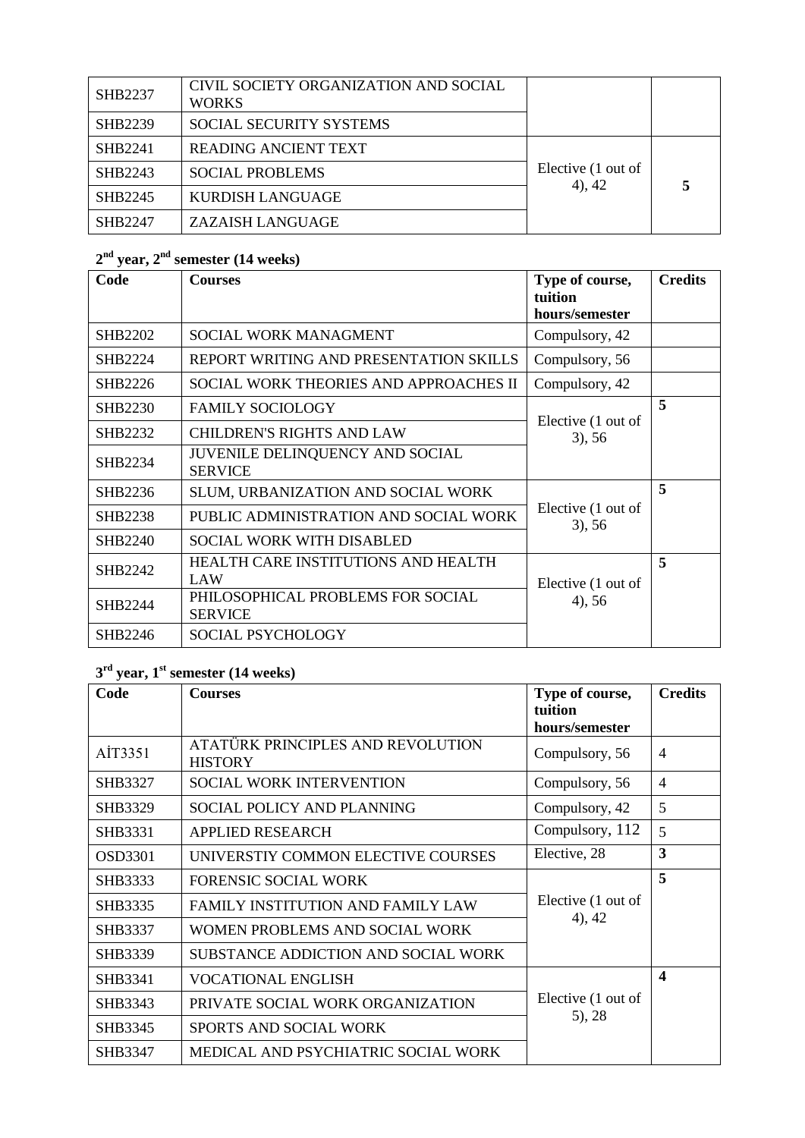| <b>SHB2237</b> | CIVIL SOCIETY ORGANIZATION AND SOCIAL<br><b>WORKS</b> |                    |  |
|----------------|-------------------------------------------------------|--------------------|--|
| SHB2239        | <b>SOCIAL SECURITY SYSTEMS</b>                        |                    |  |
| SHB2241        | <b>READING ANCIENT TEXT</b>                           | Elective (1 out of |  |
| SHB2243        | <b>SOCIAL PROBLEMS</b>                                |                    |  |
| SHB2245        | KURDISH LANGUAGE                                      | $4)$ , 42          |  |
| SHB2247        | ZAZAISH LANGUAGE                                      |                    |  |

## **2 nd year, 2 nd semester (14 weeks)**

| Code           | <b>Courses</b>                                      | Type of course,<br>tuition<br>hours/semester | <b>Credits</b> |
|----------------|-----------------------------------------------------|----------------------------------------------|----------------|
| SHB2202        | SOCIAL WORK MANAGMENT                               | Compulsory, 42                               |                |
| SHB2224        | REPORT WRITING AND PRESENTATION SKILLS              | Compulsory, 56                               |                |
| SHB2226        | SOCIAL WORK THEORIES AND APPROACHES II              | Compulsory, 42                               |                |
| SHB2230        | <b>FAMILY SOCIOLOGY</b>                             |                                              | 5              |
| SHB2232        | <b>CHILDREN'S RIGHTS AND LAW</b>                    | Elective (1 out of<br>$3)$ , 56              |                |
| SHB2234        | JUVENILE DELINQUENCY AND SOCIAL<br><b>SERVICE</b>   |                                              |                |
| SHB2236        | SLUM, URBANIZATION AND SOCIAL WORK                  |                                              | 5              |
| SHB2238        | PUBLIC ADMINISTRATION AND SOCIAL WORK               | Elective (1 out of<br>$3)$ , 56              |                |
| <b>SHB2240</b> | <b>SOCIAL WORK WITH DISABLED</b>                    |                                              |                |
| SHB2242        | HEALTH CARE INSTITUTIONS AND HEALTH<br>LAW          | Elective (1 out of<br>$4)$ , 56              | 5              |
| SHB2244        | PHILOSOPHICAL PROBLEMS FOR SOCIAL<br><b>SERVICE</b> |                                              |                |
| SHB2246        | <b>SOCIAL PSYCHOLOGY</b>                            |                                              |                |

## **3 rd year, 1 st semester (14 weeks)**

| Code           | <b>Courses</b>                                      | Type of course,               | <b>Credits</b>   |
|----------------|-----------------------------------------------------|-------------------------------|------------------|
|                |                                                     | tuition                       |                  |
|                |                                                     | hours/semester                |                  |
| AİT3351        | ATATÜRK PRINCIPLES AND REVOLUTION<br><b>HISTORY</b> | Compulsory, 56                | $\overline{4}$   |
| SHB3327        | <b>SOCIAL WORK INTERVENTION</b>                     | Compulsory, 56                | $\overline{4}$   |
| SHB3329        | SOCIAL POLICY AND PLANNING                          | Compulsory, 42                | 5                |
| SHB3331        | <b>APPLIED RESEARCH</b>                             | Compulsory, 112               | 5                |
| <b>OSD3301</b> | UNIVERSTIY COMMON ELECTIVE COURSES                  | Elective, 28                  | 3                |
| SHB3333        | <b>FORENSIC SOCIAL WORK</b>                         | Elective (1 out of            | 5                |
| SHB3335        | <b>FAMILY INSTITUTION AND FAMILY LAW</b>            |                               |                  |
| SHB3337        | WOMEN PROBLEMS AND SOCIAL WORK                      | $4)$ , 42                     |                  |
| SHB3339        | SUBSTANCE ADDICTION AND SOCIAL WORK                 |                               |                  |
| SHB3341        | <b>VOCATIONAL ENGLISH</b>                           | Elective (1 out of<br>(5), 28 | $\boldsymbol{4}$ |
| SHB3343        | PRIVATE SOCIAL WORK ORGANIZATION                    |                               |                  |
| SHB3345        | SPORTS AND SOCIAL WORK                              |                               |                  |
| SHB3347        | MEDICAL AND PSYCHIATRIC SOCIAL WORK                 |                               |                  |